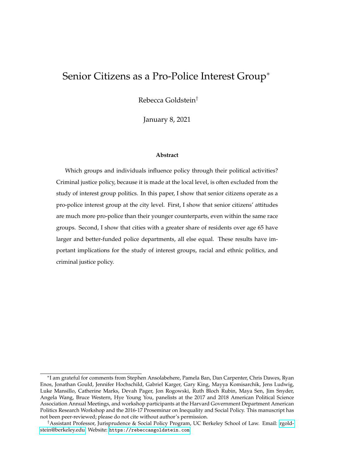## <span id="page-0-0"></span>Senior Citizens as a Pro-Police Interest Group<sup>∗</sup>

Rebecca Goldstein†

January 8, 2021

#### **Abstract**

Which groups and individuals influence policy through their political activities? Criminal justice policy, because it is made at the local level, is often excluded from the study of interest group politics. In this paper, I show that senior citizens operate as a pro-police interest group at the city level. First, I show that senior citizens' attitudes are much more pro-police than their younger counterparts, even within the same race groups. Second, I show that cities with a greater share of residents over age 65 have larger and better-funded police departments, all else equal. These results have important implications for the study of interest groups, racial and ethnic politics, and criminal justice policy.

<sup>∗</sup> I am grateful for comments from Stephen Ansolabehere, Pamela Ban, Dan Carpenter, Chris Dawes, Ryan Enos, Jonathan Gould, Jennifer Hochschild, Gabriel Karger, Gary King, Mayya Komisarchik, Jens Ludwig, Luke Mansillo, Catherine Marks, Devah Pager, Jon Rogowski, Ruth Bloch Rubin, Maya Sen, Jim Snyder, Angela Wang, Bruce Western, Hye Young You, panelists at the 2017 and 2018 American Political Science Association Annual Meetings, and workshop participants at the Harvard Government Department American Politics Research Workshop and the 2016-17 Proseminar on Inequality and Social Policy. This manuscript has not been peer-reviewed; please do not cite without author's permission.

<sup>†</sup>Assistant Professor, Jurisprudence & Social Policy Program, UC Berkeley School of Law. Email: [rgold](mailto:rgoldstein@berkeley.edu)[stein@berkeley.edu.](mailto:rgoldstein@berkeley.edu) Website: <https://rebeccasgoldstein.com>.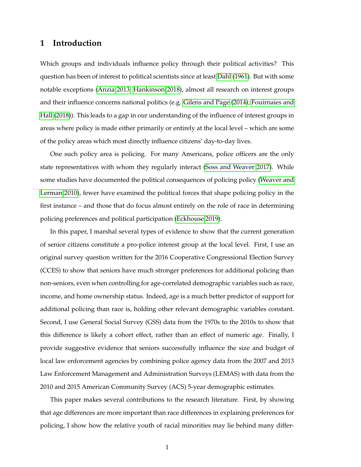## **1 Introduction**

Which groups and individuals influence policy through their political activities? This question has been of interest to political scientists since at least [Dahl](#page-24-0) [\(1961\)](#page-24-0). But with some notable exceptions [\(Anzia 2013;](#page-24-1) [Hankinson 2018\)](#page-26-0), almost all research on interest groups and their influence concerns national politics (e.g. [Gilens and Page](#page-25-0) [\(2014\)](#page-25-0); [Fouirnaies and](#page-25-1) [Hall](#page-25-1) [\(2018\)](#page-25-1)). This leads to a gap in our understanding of the influence of interest groups in areas where policy is made either primarily or entirely at the local level – which are some of the policy areas which most directly influence citizens' day-to-day lives.

One such policy area is policing. For many Americans, police officers are the only state representatives with whom they regularly interact [\(Soss and Weaver 2017\)](#page-28-0). While some studies have documented the political consequences of policing policy [\(Weaver and](#page-29-0) [Lerman 2010\)](#page-29-0), fewer have examined the political forces that shape policing policy in the first instance – and those that do focus almost entirely on the role of race in determining policing preferences and political participation [\(Eckhouse 2019\)](#page-25-2).

In this paper, I marshal several types of evidence to show that the current generation of senior citizens constitute a pro-police interest group at the local level. First, I use an original survey question written for the 2016 Cooperative Congressional Election Survey (CCES) to show that seniors have much stronger preferences for additional policing than non-seniors, even when controlling for age-correlated demographic variables such as race, income, and home ownership status. Indeed, age is a much better predictor of support for additional policing than race is, holding other relevant demographic variables constant. Second, I use General Social Survey (GSS) data from the 1970s to the 2010s to show that this difference is likely a cohort effect, rather than an effect of numeric age. Finally, I provide suggestive evidence that seniors successfully influence the size and budget of local law enforcement agencies by combining police agency data from the 2007 and 2013 Law Enforcement Management and Administration Surveys (LEMAS) with data from the 2010 and 2015 American Community Survey (ACS) 5-year demographic estimates.

This paper makes several contributions to the research literature. First, by showing that age differences are more important than race differences in explaining preferences for policing, I show how the relative youth of racial minorities may lie behind many differ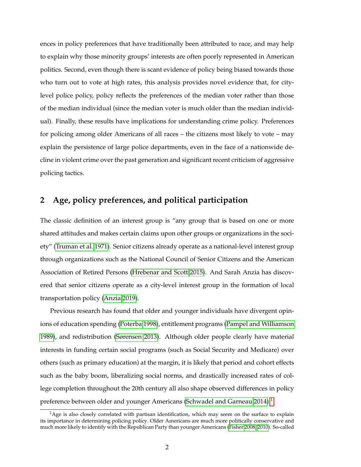ences in policy preferences that have traditionally been attributed to race, and may help to explain why those minority groups' interests are often poorly represented in American politics. Second, even though there is scant evidence of policy being biased towards those who turn out to vote at high rates, this analysis provides novel evidence that, for citylevel police policy, policy reflects the preferences of the median voter rather than those of the median individual (since the median voter is much older than the median individual). Finally, these results have implications for understanding crime policy. Preferences for policing among older Americans of all races – the citizens most likely to vote – may explain the persistence of large police departments, even in the face of a nationwide decline in violent crime over the past generation and significant recent criticism of aggressive policing tactics.

## **2 Age, policy preferences, and political participation**

The classic definition of an interest group is "any group that is based on one or more shared attitudes and makes certain claims upon other groups or organizations in the society" [\(Truman et al. 1971\)](#page-29-1). Senior citizens already operate as a national-level interest group through organizations such as the National Council of Senior Citizens and the American Association of Retired Persons [\(Hrebenar and Scott 2015\)](#page-26-1). And Sarah Anzia has discovered that senior citizens operate as a city-level interest group in the formation of local transportation policy [\(Anzia 2019\)](#page-24-2).

Previous research has found that older and younger individuals have divergent opinions of education spending [\(Poterba 1998\)](#page-28-1), entitlement programs [\(Pampel and Williamson](#page-27-0) [1989\)](#page-27-0), and redistribution [\(Sørensen 2013\)](#page-28-2). Although older people clearly have material interests in funding certain social programs (such as Social Security and Medicare) over others (such as primary education) at the margin, it is likely that period and cohort effects such as the baby boom, liberalizing social norms, and drastically increased rates of college completion throughout the 20th century all also shape observed differences in policy preference between older and younger Americans [\(Schwadel and Garneau 2014\)](#page-28-3).<sup>[1](#page-0-0)</sup>

 $<sup>1</sup>$ Age is also closely correlated with partisan identification, which may seem on the surface to explain</sup> its importance in determining policing policy. Older Americans are much more politically conservative and much more likely to identify with the Republican Party than younger Americans [\(Fisher 2008,](#page-25-3) [2010\)](#page-25-4). So-called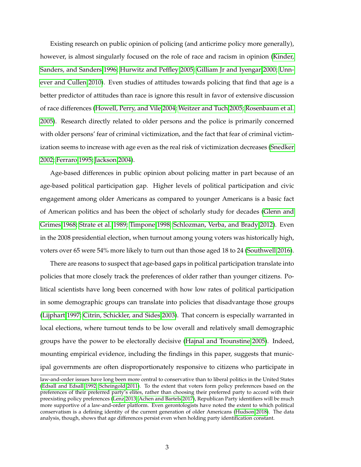Existing research on public opinion of policing (and anticrime policy more generally), however, is almost singularly focused on the role of race and racism in opinion [\(Kinder,](#page-26-2) [Sanders, and Sanders 1996;](#page-26-2) [Hurwitz and Peffley 2005;](#page-26-3) [Gilliam Jr and Iyengar 2000;](#page-25-5) [Unn](#page-29-2)[ever and Cullen 2010\)](#page-29-2). Even studies of attitudes towards policing that find that age is a better predictor of attitudes than race is ignore this result in favor of extensive discussion of race differences [\(Howell, Perry, and Vile 2004;](#page-26-4) [Weitzer and Tuch 2005;](#page-29-3) [Rosenbaum et al.](#page-28-4) [2005\)](#page-28-4). Research directly related to older persons and the police is primarily concerned with older persons' fear of criminal victimization, and the fact that fear of criminal victimization seems to increase with age even as the real risk of victimization decreases [\(Snedker](#page-28-5) [2002;](#page-28-5) [Ferraro 1995;](#page-25-6) [Jackson 2004\)](#page-26-5).

Age-based differences in public opinion about policing matter in part because of an age-based political participation gap. Higher levels of political participation and civic engagement among older Americans as compared to younger Americans is a basic fact of American politics and has been the object of scholarly study for decades [\(Glenn and](#page-25-7) [Grimes 1968;](#page-25-7) [Strate et al. 1989;](#page-29-4) [Timpone 1998;](#page-29-5) [Schlozman, Verba, and Brady 2012\)](#page-28-6). Even in the 2008 presidential election, when turnout among young voters was historically high, voters over 65 were 54% more likely to turn out than those aged 18 to 24 [\(Southwell 2016\)](#page-29-6).

There are reasons to suspect that age-based gaps in political participation translate into policies that more closely track the preferences of older rather than younger citizens. Political scientists have long been concerned with how low rates of political participation in some demographic groups can translate into policies that disadvantage those groups [\(Lijphart 1997;](#page-26-6) [Citrin, Schickler, and Sides 2003\)](#page-24-3). That concern is especially warranted in local elections, where turnout tends to be low overall and relatively small demographic groups have the power to be electorally decisive [\(Hajnal and Trounstine 2005\)](#page-26-7). Indeed, mounting empirical evidence, including the findings in this paper, suggests that municipal governments are often disproportionately responsive to citizens who participate in

law-and-order issues have long been more central to conservative than to liberal politics in the United States [\(Edsall and Edsall 1992;](#page-25-8) [Scheingold 2011\)](#page-28-7). To the extent that voters form policy preferences based on the preferences of their preferred party's elites, rather than choosing their preferred party to accord with their preexisting policy preferences [\(Lenz 2013;](#page-26-8) [Achen and Bartels 2017\)](#page-24-4), Republican Party identifiers will be much more supportive of a law-and-order platform. Even gerontologists have noted the extent to which political conservatism is a defining identity of the current generation of older Americans [\(Hudson 2018\)](#page-26-9). The data analysis, though, shows that age differences persist even when holding party identification constant.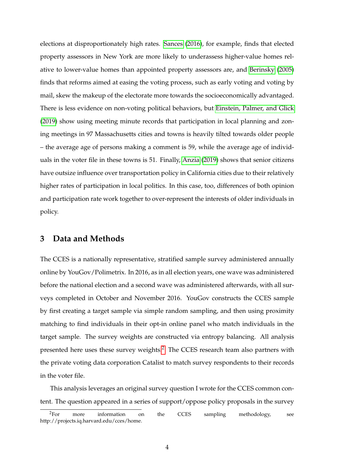elections at disproportionately high rates. [Sances](#page-28-8) [\(2016\)](#page-28-8), for example, finds that elected property assessors in New York are more likely to underassess higher-value homes relative to lower-value homes than appointed property assessors are, and [Berinsky](#page-24-5) [\(2005\)](#page-24-5) finds that reforms aimed at easing the voting process, such as early voting and voting by mail, skew the makeup of the electorate more towards the socioeconomically advantaged. There is less evidence on non-voting political behaviors, but [Einstein, Palmer, and Glick](#page-25-9) [\(2019\)](#page-25-9) show using meeting minute records that participation in local planning and zoning meetings in 97 Massachusetts cities and towns is heavily tilted towards older people – the average age of persons making a comment is 59, while the average age of individuals in the voter file in these towns is 51. Finally, [Anzia](#page-24-2) [\(2019\)](#page-24-2) shows that senior citizens have outsize influence over transportation policy in California cities due to their relatively higher rates of participation in local politics. In this case, too, differences of both opinion and participation rate work together to over-represent the interests of older individuals in policy.

## **3 Data and Methods**

The CCES is a nationally representative, stratified sample survey administered annually online by YouGov/Polimetrix. In 2016, as in all election years, one wave was administered before the national election and a second wave was administered afterwards, with all surveys completed in October and November 2016. YouGov constructs the CCES sample by first creating a target sample via simple random sampling, and then using proximity matching to find individuals in their opt-in online panel who match individuals in the target sample. The survey weights are constructed via entropy balancing. All analysis presented here uses these survey weights.<sup>[2](#page-0-0)</sup> The CCES research team also partners with the private voting data corporation Catalist to match survey respondents to their records in the voter file.

This analysis leverages an original survey question I wrote for the CCES common content. The question appeared in a series of support/oppose policy proposals in the survey

<sup>&</sup>lt;sup>2</sup>For more information on the CCES sampling methodology, see http://projects.iq.harvard.edu/cces/home.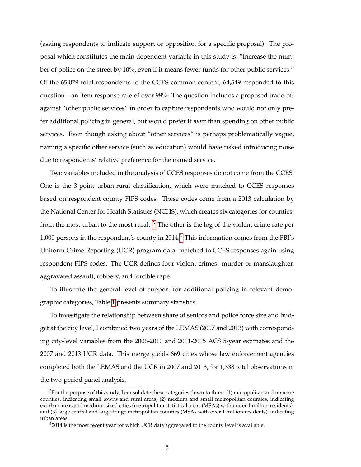(asking respondents to indicate support or opposition for a specific proposal). The proposal which constitutes the main dependent variable in this study is, "Increase the number of police on the street by 10%, even if it means fewer funds for other public services." Of the 65,079 total respondents to the CCES common content, 64,549 responded to this question – an item response rate of over 99%. The question includes a proposed trade-off against "other public services" in order to capture respondents who would not only prefer additional policing in general, but would prefer it *more* than spending on other public services. Even though asking about "other services" is perhaps problematically vague, naming a specific other service (such as education) would have risked introducing noise due to respondents' relative preference for the named service.

Two variables included in the analysis of CCES responses do not come from the CCES. One is the 3-point urban-rural classification, which were matched to CCES responses based on respondent county FIPS codes. These codes come from a 2013 calculation by the National Center for Health Statistics (NCHS), which creates six categories for counties, from the most urban to the most rural.  $3$  The other is the log of the violent crime rate per 1,000 persons in the respondent's county in 201[4](#page-0-0).<sup>4</sup> This information comes from the FBI's Uniform Crime Reporting (UCR) program data, matched to CCES responses again using respondent FIPS codes. The UCR defines four violent crimes: murder or manslaughter, aggravated assault, robbery, and forcible rape.

To illustrate the general level of support for additional policing in relevant demographic categories, Table [1](#page-6-0) presents summary statistics.

To investigate the relationship between share of seniors and police force size and budget at the city level, I combined two years of the LEMAS (2007 and 2013) with corresponding city-level variables from the 2006-2010 and 2011-2015 ACS 5-year estimates and the 2007 and 2013 UCR data. This merge yields 669 cities whose law enforcement agencies completed both the LEMAS and the UCR in 2007 and 2013, for 1,338 total observations in the two-period panel analysis.

 $3$ For the purpose of this study, I consolidate these categories down to three: (1) micropolitan and noncore counties, indicating small towns and rural areas, (2) medium and small metropolitan counties, indicating exurban areas and medium-sized cities (metropolitan statistical areas (MSAs) with under 1 million residents), and (3) large central and large fringe metropolitan counties (MSAs with over 1 million residents), indicating urban areas.

 $42014$  is the most recent year for which UCR data aggregated to the county level is available.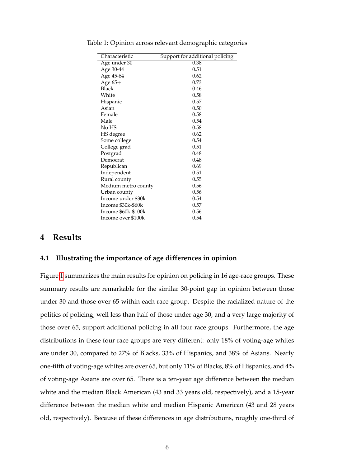| Characteristic      | Support for additional policing |
|---------------------|---------------------------------|
| Age under 30        | 0.38                            |
| Age 30-44           | 0.51                            |
| Age 45-64           | 0.62                            |
| Age $65+$           | 0.73                            |
| Black               | 0.46                            |
| White               | 0.58                            |
| Hispanic            | 0.57                            |
| Asian               | 0.50                            |
| Female              | 0.58                            |
| Male                | 0.54                            |
| No HS               | 0.58                            |
| HS degree           | 0.62                            |
| Some college        | 0.54                            |
| College grad        | 0.51                            |
| Postgrad            | 0.48                            |
| Democrat            | 0.48                            |
| Republican          | 0.69                            |
| Independent         | 0.51                            |
| Rural county        | 0.55                            |
| Medium metro county | 0.56                            |
| Urban county        | 0.56                            |
| Income under \$30k  | 0.54                            |
| Income \$30k-\$60k  | 0.57                            |
| Income \$60k-\$100k | 0.56                            |
| Income over \$100k  | 0.54                            |

<span id="page-6-0"></span>Table 1: Opinion across relevant demographic categories

## **4 Results**

#### **4.1 Illustrating the importance of age differences in opinion**

Figure [1](#page-7-0) summarizes the main results for opinion on policing in 16 age-race groups. These summary results are remarkable for the similar 30-point gap in opinion between those under 30 and those over 65 within each race group. Despite the racialized nature of the politics of policing, well less than half of those under age 30, and a very large majority of those over 65, support additional policing in all four race groups. Furthermore, the age distributions in these four race groups are very different: only 18% of voting-age whites are under 30, compared to 27% of Blacks, 33% of Hispanics, and 38% of Asians. Nearly one-fifth of voting-age whites are over 65, but only 11% of Blacks, 8% of Hispanics, and 4% of voting-age Asians are over 65. There is a ten-year age difference between the median white and the median Black American (43 and 33 years old, respectively), and a 15-year difference between the median white and median Hispanic American (43 and 28 years old, respectively). Because of these differences in age distributions, roughly one-third of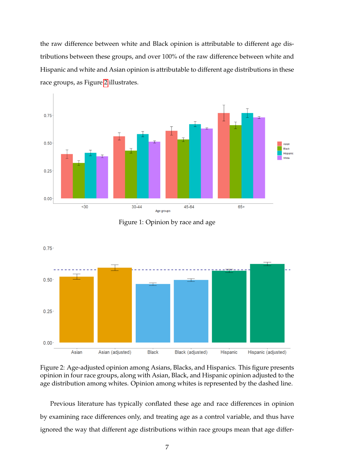the raw difference between white and Black opinion is attributable to different age distributions between these groups, and over 100% of the raw difference between white and Hispanic and white and Asian opinion is attributable to different age distributions in these race groups, as Figure [2](#page-7-1) illustrates.

<span id="page-7-0"></span>



<span id="page-7-1"></span>



Previous literature has typically conflated these age and race differences in opinion by examining race differences only, and treating age as a control variable, and thus have ignored the way that different age distributions within race groups mean that age differ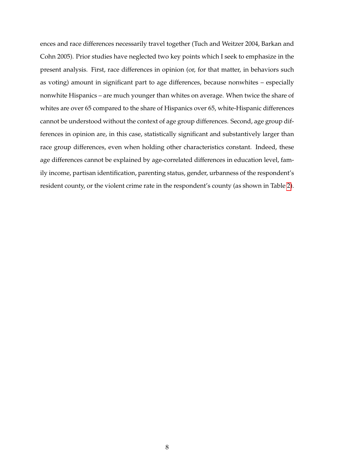ences and race differences necessarily travel together (Tuch and Weitzer 2004, Barkan and Cohn 2005). Prior studies have neglected two key points which I seek to emphasize in the present analysis. First, race differences in opinion (or, for that matter, in behaviors such as voting) amount in significant part to age differences, because nonwhites – especially nonwhite Hispanics – are much younger than whites on average. When twice the share of whites are over 65 compared to the share of Hispanics over 65, white-Hispanic differences cannot be understood without the context of age group differences. Second, age group differences in opinion are, in this case, statistically significant and substantively larger than race group differences, even when holding other characteristics constant. Indeed, these age differences cannot be explained by age-correlated differences in education level, family income, partisan identification, parenting status, gender, urbanness of the respondent's resident county, or the violent crime rate in the respondent's county (as shown in Table [2\)](#page-9-0).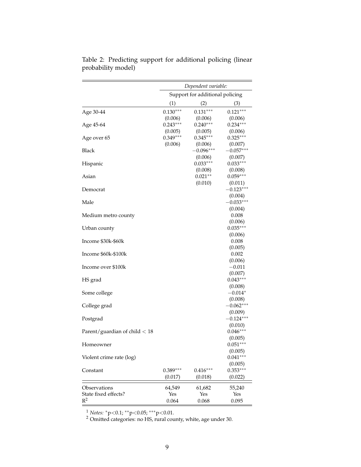|                                 | Dependent variable:<br>Support for additional policing |                        |                       |
|---------------------------------|--------------------------------------------------------|------------------------|-----------------------|
|                                 |                                                        |                        |                       |
|                                 | (1)                                                    | (2)                    | (3)                   |
| Age 30-44                       | $0.130***$                                             | $0.131***$             | $0.121***$            |
|                                 | (0.006)<br>$0.243***$                                  | (0.006)<br>$0.240***$  | (0.006)               |
| Age 45-64                       |                                                        |                        | $0.234***$            |
|                                 | (0.005)<br>$0.349***$                                  | (0.005)<br>$0.345***$  | (0.006)<br>$0.325***$ |
| Age over 65                     | (0.006)                                                |                        | (0.007)               |
| Black                           |                                                        | (0.006)<br>$-0.096***$ | $-0.057***$           |
|                                 |                                                        | (0.006)                | (0.007)               |
| Hispanic                        |                                                        | $0.033***$             | $0.033***$            |
|                                 |                                                        | (0.008)                | (0.008)               |
| Asian                           |                                                        | $0.021**$              | $0.059***$            |
|                                 |                                                        | (0.010)                | (0.011)               |
| Democrat                        |                                                        |                        | $-0.123***$           |
|                                 |                                                        |                        | (0.004)               |
| Male                            |                                                        |                        | $-0.033***$           |
|                                 |                                                        |                        | (0.004)               |
| Medium metro county             |                                                        |                        | 0.008                 |
|                                 |                                                        |                        | (0.006)               |
| Urban county                    |                                                        |                        | $0.035***$            |
|                                 |                                                        |                        | (0.006)               |
| Income \$30k-\$60k              |                                                        |                        | 0.008                 |
|                                 |                                                        |                        | (0.005)               |
| Income \$60k-\$100k             |                                                        |                        | 0.002                 |
|                                 |                                                        |                        | (0.006)               |
| Income over \$100k              |                                                        |                        | $-0.011$              |
|                                 |                                                        |                        | (0.007)               |
| HS grad                         |                                                        |                        | $0.043***$            |
|                                 |                                                        |                        | (0.008)               |
| Some college                    |                                                        |                        | $-0.014*$             |
|                                 |                                                        |                        | (0.008)               |
| College grad                    |                                                        |                        | $-0.062***$           |
|                                 |                                                        |                        | (0.009)               |
| Postgrad                        |                                                        |                        | $-0.124***$           |
|                                 |                                                        |                        | (0.010)               |
| Parent/guardian of child $<$ 18 |                                                        |                        | $0.046***$            |
|                                 |                                                        |                        | (0.005)               |
| Homeowner                       |                                                        |                        | $0.051***$            |
|                                 |                                                        |                        | (0.005)               |
| Violent crime rate (log)        |                                                        |                        | $0.041***$            |
|                                 |                                                        |                        | (0.005)               |
| Constant                        | $0.389***$                                             | $0.416***$             | $0.353***$            |
|                                 | (0.017)                                                | (0.018)                | (0.022)               |
|                                 |                                                        |                        |                       |
| Observations                    | 64,549                                                 | 61,682                 | 55,240                |
| State fixed effects?<br>$R^2$   | Yes                                                    | Yes                    | Yes                   |
|                                 | 0.064                                                  | 0.068                  | 0.095                 |

<span id="page-9-0"></span>Table 2: Predicting support for additional policing (linear probability model)

<sup>1</sup> *Notes:* <sup>∗</sup>p<0.1; ∗∗p<0.05; ∗∗∗p<0.01.

 $2$  Omitted categories: no HS, rural county, white, age under 30.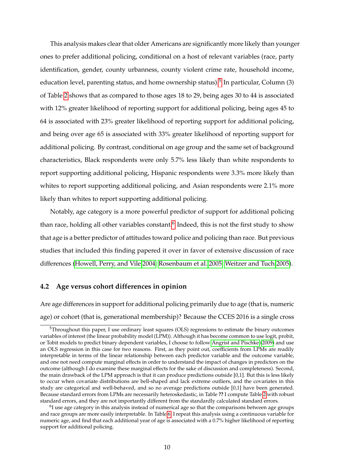This analysis makes clear that older Americans are significantly more likely than younger ones to prefer additional policing, conditional on a host of relevant variables (race, party identification, gender, county urbanness, county violent crime rate, household income, education level, parenting status, and home ownership status).<sup>[5](#page-0-0)</sup> In particular, Column (3) of Table [2](#page-9-0) shows that as compared to those ages 18 to 29, being ages 30 to 44 is associated with 12% greater likelihood of reporting support for additional policing, being ages 45 to 64 is associated with 23% greater likelihood of reporting support for additional policing, and being over age 65 is associated with 33% greater likelihood of reporting support for additional policing. By contrast, conditional on age group and the same set of background characteristics, Black respondents were only 5.7% less likely than white respondents to report supporting additional policing, Hispanic respondents were 3.3% more likely than whites to report supporting additional policing, and Asian respondents were 2.1% more likely than whites to report supporting additional policing.

Notably, age category is a more powerful predictor of support for additional policing than race, holding all other variables constant.<sup>[6](#page-0-0)</sup> Indeed, this is not the first study to show that age is a better predictor of attitudes toward police and policing than race. But previous studies that included this finding papered it over in favor of extensive discussion of race differences [\(Howell, Perry, and Vile 2004;](#page-26-4) [Rosenbaum et al. 2005;](#page-28-4) [Weitzer and Tuch 2005\)](#page-29-3).

#### **4.2 Age versus cohort differences in opinion**

Are age differences in support for additional policing primarily due to age (that is, numeric age) or cohort (that is, generational membership)? Because the CCES 2016 is a single cross

<sup>&</sup>lt;sup>5</sup>Throughout this paper, I use ordinary least squares (OLS) regressions to estimate the binary outcomes variables of interest (the linear probability model (LPM)). Although it has become common to use logit, probit, or Tobit models to predict binary dependent variables, I choose to follow [Angrist and Pischke](#page-24-6) [\(2009\)](#page-24-6) and use an OLS regression in this case for two reasons. First, as they point out, coefficients from LPMs are readily interpretable in terms of the linear relationship between each predictor variable and the outcome variable, and one not need compute marginal effects in order to understand the impact of changes in predictors on the outcome (although I do examine these marginal effects for the sake of discussion and completeness). Second, the main drawback of the LPM approach is that it can produce predictions outside [0,1]. But this is less likely to occur when covariate distributions are bell-shaped and lack extreme outliers, and the covariates in this study are categorical and well-behaved, and so no average predictions outside [0,1] have been generated. Because standard errors from LPMs are necessarily heteroskedastic, in Table **??** I compute Table [2](#page-9-0) with robust standard errors, and they are not importantly different from the standardly calculated standard errors.

 $^6$ I use age category in this analysis instead of numerical age so that the comparisons between age groups and race groups are more easily interpretable. In Table [6,](#page-31-0) I repeat this analysis using a continuous variable for numeric age, and find that each additional year of age is associated with a 0.7% higher likelihood of reporting support for additional policing.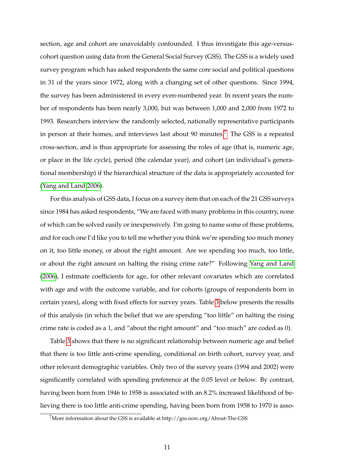section, age and cohort are unavoidably confounded. I thus investigate this age-versuscohort question using data from the General Social Survey (GSS). The GSS is a widely used survey program which has asked respondents the same core social and political questions in 31 of the years since 1972, along with a changing set of other questions. Since 1994, the survey has been administered in every even-numbered year. In recent years the number of respondents has been nearly 3,000, but was between 1,000 and 2,000 from 1972 to 1993. Researchers interview the randomly selected, nationally representative participants in person at their homes, and interviews last about 90 minutes.<sup>[7](#page-0-0)</sup> The GSS is a repeated cross-section, and is thus appropriate for assessing the roles of age (that is, numeric age, or place in the life cycle), period (the calendar year), and cohort (an individual's generational membership) if the hierarchical structure of the data is appropriately accounted for [\(Yang and Land 2006\)](#page-30-0).

For this analysis of GSS data, I focus on a survey item that on each of the 21 GSS surveys since 1984 has asked respondents, "We are faced with many problems in this country, none of which can be solved easily or inexpensively. I'm going to name some of these problems, and for each one I'd like you to tell me whether you think we're spending too much money on it, too little money, or about the right amount. Are we spending too much, too little, or about the right amount on halting the rising crime rate?" Following [Yang and Land](#page-30-0) [\(2006\)](#page-30-0), I estimate coefficients for age, for other relevant covariates which are correlated with age and with the outcome variable, and for cohorts (groups of respondents born in certain years), along with fixed effects for survey years. Table [3](#page-13-0) below presents the results of this analysis (in which the belief that we are spending "too little" on halting the rising crime rate is coded as a 1, and "about the right amount" and "too much" are coded as 0).

Table [3](#page-13-0) shows that there is no significant relationship between numeric age and belief that there is too little anti-crime spending, conditional on birth cohort, survey year, and other relevant demographic variables. Only two of the survey years (1994 and 2002) were significantly correlated with spending preference at the 0.05 level or below. By contrast, having been born from 1946 to 1958 is associated with an 8.2% increased likelihood of believing there is too little anti-crime spending, having been born from 1958 to 1970 is asso-

<sup>7</sup>More information about the GSS is available at http://gss.norc.org/About-The-GSS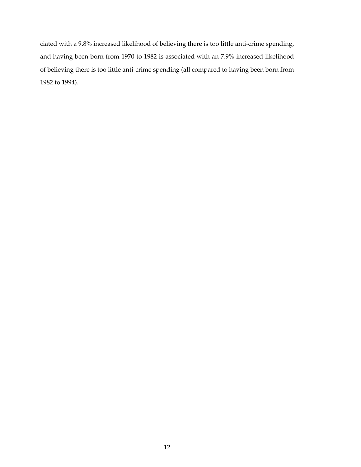ciated with a 9.8% increased likelihood of believing there is too little anti-crime spending, and having been born from 1970 to 1982 is associated with an 7.9% increased likelihood of believing there is too little anti-crime spending (all compared to having been born from 1982 to 1994).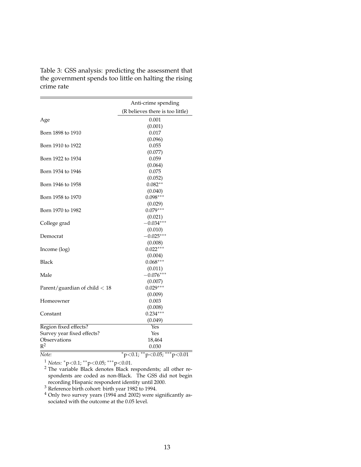<span id="page-13-0"></span>

| Table 3: GSS analysis: predicting the assessment that  |
|--------------------------------------------------------|
| the government spends too little on halting the rising |
| crime rate                                             |

|                                 | Anti-crime spending                     |
|---------------------------------|-----------------------------------------|
|                                 | (R believes there is too little)        |
| Age                             | 0.001                                   |
|                                 | (0.001)                                 |
| Born 1898 to 1910               | 0.017                                   |
|                                 | (0.096)                                 |
| Born 1910 to 1922               | 0.055                                   |
|                                 | (0.077)                                 |
| Born 1922 to 1934               | 0.059                                   |
|                                 | (0.064)                                 |
| Born 1934 to 1946               | 0.075                                   |
|                                 | (0.052)                                 |
| Born 1946 to 1958               | $0.082**$                               |
|                                 | (0.040)                                 |
| Born 1958 to 1970               | $0.098***$                              |
|                                 | (0.029)                                 |
| Born 1970 to 1982               | $0.079***$                              |
|                                 | (0.021)                                 |
| College grad                    | $-0.034***$                             |
|                                 | (0.010)                                 |
| Democrat                        | $-0.025***$                             |
|                                 | (0.008)                                 |
| Income (log)                    | $0.022***$                              |
|                                 | (0.004)                                 |
| <b>Black</b>                    | $0.068***$                              |
|                                 | (0.011)                                 |
| Male                            | $-0.076***$                             |
|                                 | (0.007)                                 |
| Parent/guardian of child $<$ 18 | $0.029***$                              |
|                                 | (0.009)                                 |
| Homeowner                       | 0.003                                   |
|                                 | (0.008)                                 |
| Constant                        | $0.234***$                              |
|                                 | (0.049)                                 |
| Region fixed effects?           | Yes                                     |
| Survey year fixed effects?      | Yes                                     |
| Observations                    | 18,464                                  |
| $R^2$                           | 0.030                                   |
| Note:                           | $*_{p<0.1;}$ $*_{p<0.05;}$ $*_{p<0.01}$ |

<sup>1</sup> *Notes:* <sup>∗</sup>p<0.1; ∗∗p<0.05; ∗∗∗p<0.01.

 $2$  The variable Black denotes Black respondents; all other respondents are coded as non-Black. The GSS did not begin recording Hispanic respondent identity until 2000.

 $3$  Reference birth cohort: birth year 1982 to 1994.

 $4$  Only two survey years (1994 and 2002) were significantly associated with the outcome at the 0.05 level.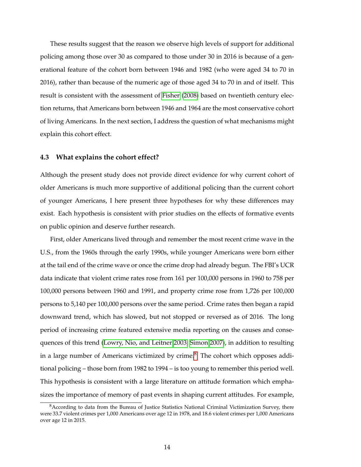These results suggest that the reason we observe high levels of support for additional policing among those over 30 as compared to those under 30 in 2016 is because of a generational feature of the cohort born between 1946 and 1982 (who were aged 34 to 70 in 2016), rather than because of the numeric age of those aged 34 to 70 in and of itself. This result is consistent with the assessment of [Fisher](#page-25-3) [\(2008\)](#page-25-3) based on twentieth century election returns, that Americans born between 1946 and 1964 are the most conservative cohort of living Americans. In the next section, I address the question of what mechanisms might explain this cohort effect.

#### **4.3 What explains the cohort effect?**

Although the present study does not provide direct evidence for why current cohort of older Americans is much more supportive of additional policing than the current cohort of younger Americans, I here present three hypotheses for why these differences may exist. Each hypothesis is consistent with prior studies on the effects of formative events on public opinion and deserve further research.

First, older Americans lived through and remember the most recent crime wave in the U.S., from the 1960s through the early 1990s, while younger Americans were born either at the tail end of the crime wave or once the crime drop had already begun. The FBI's UCR data indicate that violent crime rates rose from 161 per 100,000 persons in 1960 to 758 per 100,000 persons between 1960 and 1991, and property crime rose from 1,726 per 100,000 persons to 5,140 per 100,000 persons over the same period. Crime rates then began a rapid downward trend, which has slowed, but not stopped or reversed as of 2016. The long period of increasing crime featured extensive media reporting on the causes and consequences of this trend [\(Lowry, Nio, and Leitner 2003;](#page-27-1) [Simon 2007\)](#page-28-9), in addition to resulting in a large number of Americans victimized by crime.<sup>[8](#page-0-0)</sup> The cohort which opposes additional policing – those born from 1982 to 1994 – is too young to remember this period well. This hypothesis is consistent with a large literature on attitude formation which emphasizes the importance of memory of past events in shaping current attitudes. For example,

<sup>&</sup>lt;sup>8</sup> According to data from the Bureau of Justice Statistics National Criminal Victimization Survey, there were 33.7 violent crimes per 1,000 Americans over age 12 in 1978, and 18.6 violent crimes per 1,000 Americans over age 12 in 2015.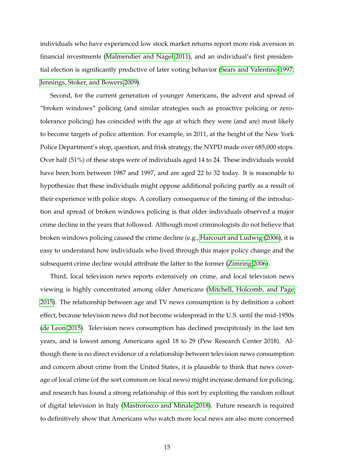individuals who have experienced low stock market returns report more risk aversion in financial investments [\(Malmendier and Nagel 2011\)](#page-27-2), and an individual's first presidential election is significantly predictive of later voting behavior [\(Sears and Valentino 1997;](#page-28-10) [Jennings, Stoker, and Bowers 2009\)](#page-26-10).

Second, for the current generation of younger Americans, the advent and spread of "broken windows" policing (and similar strategies such as proactive policing or zerotolerance policing) has coincided with the age at which they were (and are) most likely to become targets of police attention. For example, in 2011, at the height of the New York Police Department's stop, question, and frisk strategy, the NYPD made over 685,000 stops. Over half (51%) of these stops were of individuals aged 14 to 24. These individuals would have been born between 1987 and 1997, and are aged 22 to 32 today. It is reasonable to hypothesize that these individuals might oppose additional policing partly as a result of their experience with police stops. A corollary consequence of the timing of the introduction and spread of broken windows policing is that older individuals observed a major crime decline in the years that followed. Although most criminologists do not believe that broken windows policing caused the crime decline (e.g., [Harcourt and Ludwig](#page-26-11) [\(2006\)](#page-26-11), it is easy to understand how individuals who lived through this major policy change and the subsequent crime decline would attribute the latter to the former [\(Zimring 2006\)](#page-30-1).

Third, local television news reports extensively on crime, and local television news viewing is highly concentrated among older Americans [\(Mitchell, Holcomb, and Page](#page-27-3) [2015\)](#page-27-3). The relationship between age and TV news consumption is by definition a cohort effect, because television news did not become widespread in the U.S. until the mid-1950s [\(de Leon 2015\)](#page-25-10). Television news consumption has declined precipitously in the last ten years, and is lowest among Americans aged 18 to 29 (Pew Research Center 2018). Although there is no direct evidence of a relationship between television news consumption and concern about crime from the United States, it is plausible to think that news coverage of local crime (of the sort common on local news) might increase demand for policing, and research has found a strong relationship of this sort by exploiting the random rollout of digital television in Italy [\(Mastrorocco and Minale 2018\)](#page-27-4). Future research is required to definitively show that Americans who watch more local news are also more concerned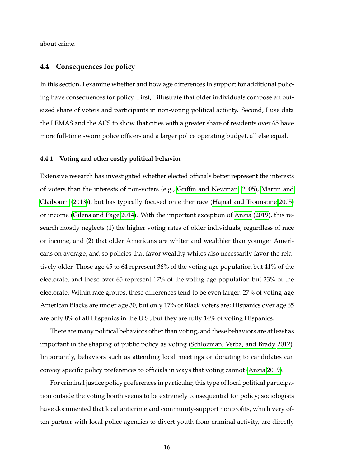about crime.

#### **4.4 Consequences for policy**

In this section, I examine whether and how age differences in support for additional policing have consequences for policy. First, I illustrate that older individuals compose an outsized share of voters and participants in non-voting political activity. Second, I use data the LEMAS and the ACS to show that cities with a greater share of residents over 65 have more full-time sworn police officers and a larger police operating budget, all else equal.

#### **4.4.1 Voting and other costly political behavior**

Extensive research has investigated whether elected officials better represent the interests of voters than the interests of non-voters (e.g., [Griffin and Newman](#page-25-11) [\(2005\)](#page-25-11), [Martin and](#page-27-5) [Claibourn](#page-27-5) [\(2013\)](#page-27-5)), but has typically focused on either race [\(Hajnal and Trounstine 2005\)](#page-26-7) or income [\(Gilens and Page 2014\)](#page-25-0). With the important exception of [Anzia](#page-24-2) [\(2019\)](#page-24-2), this research mostly neglects (1) the higher voting rates of older individuals, regardless of race or income, and (2) that older Americans are whiter and wealthier than younger Americans on average, and so policies that favor wealthy whites also necessarily favor the relatively older. Those age 45 to 64 represent 36% of the voting-age population but 41% of the electorate, and those over 65 represent 17% of the voting-age population but 23% of the electorate. Within race groups, these differences tend to be even larger. 27% of voting-age American Blacks are under age 30, but only 17% of Black voters are; Hispanics over age 65 are only 8% of all Hispanics in the U.S., but they are fully 14% of voting Hispanics.

There are many political behaviors other than voting, and these behaviors are at least as important in the shaping of public policy as voting [\(Schlozman, Verba, and Brady 2012\)](#page-28-6). Importantly, behaviors such as attending local meetings or donating to candidates can convey specific policy preferences to officials in ways that voting cannot [\(Anzia 2019\)](#page-24-2).

For criminal justice policy preferences in particular, this type of local political participation outside the voting booth seems to be extremely consequential for policy; sociologists have documented that local anticrime and community-support nonprofits, which very often partner with local police agencies to divert youth from criminal activity, are directly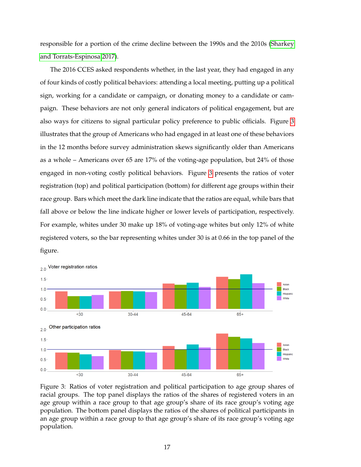responsible for a portion of the crime decline between the 1990s and the 2010s [\(Sharkey](#page-28-11) [and Torrats-Espinosa 2017\)](#page-28-11).

The 2016 CCES asked respondents whether, in the last year, they had engaged in any of four kinds of costly political behaviors: attending a local meeting, putting up a political sign, working for a candidate or campaign, or donating money to a candidate or campaign. These behaviors are not only general indicators of political engagement, but are also ways for citizens to signal particular policy preference to public officials. Figure [3](#page-17-0) illustrates that the group of Americans who had engaged in at least one of these behaviors in the 12 months before survey administration skews significantly older than Americans as a whole – Americans over 65 are 17% of the voting-age population, but 24% of those engaged in non-voting costly political behaviors. Figure [3](#page-17-0) presents the ratios of voter registration (top) and political participation (bottom) for different age groups within their race group. Bars which meet the dark line indicate that the ratios are equal, while bars that fall above or below the line indicate higher or lower levels of participation, respectively. For example, whites under 30 make up 18% of voting-age whites but only 12% of white registered voters, so the bar representing whites under 30 is at 0.66 in the top panel of the figure.



<span id="page-17-0"></span>

Figure 3: Ratios of voter registration and political participation to age group shares of racial groups. The top panel displays the ratios of the shares of registered voters in an age group within a race group to that age group's share of its race group's voting age population. The bottom panel displays the ratios of the shares of political participants in an age group within a race group to that age group's share of its race group's voting age population.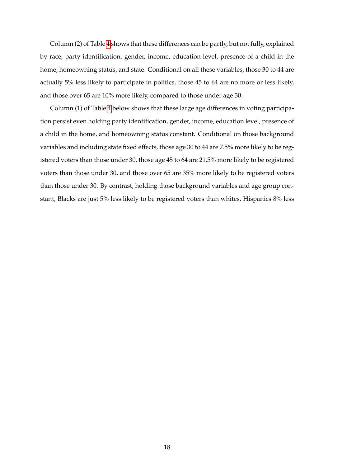Column (2) of Table [4](#page-19-0) shows that these differences can be partly, but not fully, explained by race, party identification, gender, income, education level, presence of a child in the home, homeowning status, and state. Conditional on all these variables, those 30 to 44 are actually 5% less likely to participate in politics, those 45 to 64 are no more or less likely, and those over 65 are 10% more likely, compared to those under age 30.

Column (1) of Table [4](#page-19-0) below shows that these large age differences in voting participation persist even holding party identification, gender, income, education level, presence of a child in the home, and homeowning status constant. Conditional on those background variables and including state fixed effects, those age 30 to 44 are 7.5% more likely to be registered voters than those under 30, those age 45 to 64 are 21.5% more likely to be registered voters than those under 30, and those over 65 are 35% more likely to be registered voters than those under 30. By contrast, holding those background variables and age group constant, Blacks are just 5% less likely to be registered voters than whites, Hispanics 8% less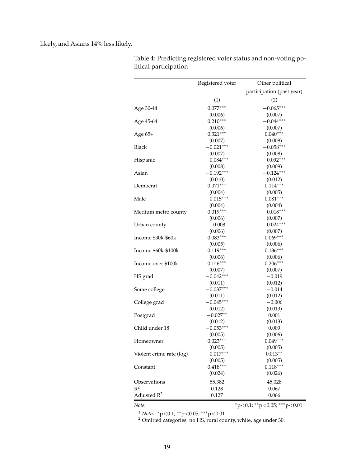likely, and Asians 14% less likely.

|                          | Registered voter | Other political           |
|--------------------------|------------------|---------------------------|
|                          |                  | participation (past year) |
|                          | (1)              | (2)                       |
| Age 30-44                | $0.077***$       | $-0.065***$               |
|                          | (0.006)          | (0.007)                   |
| Age 45-64                | $0.210***$       | $-0.044***$               |
|                          | (0.006)          | (0.007)                   |
| Age 65+                  | $0.321***$       | $0.040***$                |
|                          | (0.007)          | (0.008)                   |
| Black                    | $-0.021***$      | $-0.058***$               |
|                          | (0.007)          | (0.008)                   |
| Hispanic                 | $-0.084***$      | $-0.092***$               |
|                          | (0.008)          | (0.009)                   |
| Asian                    | $-0.192***$      | $-0.124***$               |
|                          | (0.010)          | (0.012)                   |
| Democrat                 | $0.071***$       | $0.114***$                |
|                          | (0.004)          | (0.005)                   |
| Male                     | $-0.015***$      | $0.081***$                |
|                          | (0.004)          | (0.004)                   |
| Medium metro county      | $0.019***$       | $-0.018***$               |
|                          | (0.006)          | (0.007)                   |
| Urban county             | $-0.008$         | $-0.024***$               |
|                          | (0.006)          | (0.007)                   |
| Income \$30k-\$60k       | $0.083***$       | $0.069***$                |
|                          | (0.005)          | (0.006)                   |
| Income \$60k-\$100k      | $0.119***$       | $0.136***$                |
|                          | (0.006)          | (0.006)                   |
| Income over \$100k       | $0.146***$       | $0.206***$                |
|                          | (0.007)          | (0.007)                   |
| HS grad                  | $-0.042***$      | $-0.019$                  |
|                          | (0.011)          | (0.012)                   |
| Some college             | $-0.037***$      | $-0.014$                  |
|                          | (0.011)          | (0.012)                   |
| College grad             | $-0.045***$      | $-0.006$                  |
|                          | (0.012)          | (0.013)                   |
| Postgrad                 | $-0.027**$       | 0.001                     |
|                          | (0.012)          | (0.013)                   |
| Child under 18           | $-0.053***$      | 0.009                     |
|                          | (0.005)          | (0.006)                   |
| Homeowner                | $0.023***$       | $0.049***$                |
|                          | (0.005)          | (0.005)                   |
| Violent crime rate (log) | $-0.017***$      | $0.013**$                 |
|                          | (0.005)          | (0.005)                   |
| Constant                 | $0.418***$       | $0.118***$                |
|                          | (0.024)          | (0.026)                   |
| Observations             | 55,382           | 45,028                    |
| $R^2$                    | 0.128            | 0.067                     |
| Adjusted $R^2$           | 0.127            | 0.066                     |
|                          |                  |                           |

<span id="page-19-0"></span>Table 4: Predicting registered voter status and non-voting political participation

*Note:* \*\*\*p<0.1; \*\*p<0.05; \*\*\*p<0.01

<sup>1</sup> *Notes:* <sup>∗</sup>p<0.1; ∗∗p<0.05; ∗∗∗p<0.01.

 $2$  Omitted categories: no HS, rural county, white, age under 30.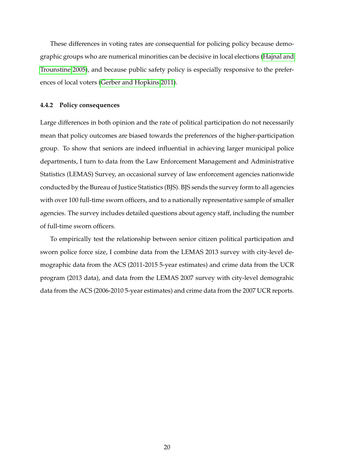These differences in voting rates are consequential for policing policy because demographic groups who are numerical minorities can be decisive in local elections [\(Hajnal and](#page-26-7) [Trounstine 2005\)](#page-26-7), and because public safety policy is especially responsive to the preferences of local voters [\(Gerber and Hopkins 2011\)](#page-25-12).

#### **4.4.2 Policy consequences**

Large differences in both opinion and the rate of political participation do not necessarily mean that policy outcomes are biased towards the preferences of the higher-participation group. To show that seniors are indeed influential in achieving larger municipal police departments, I turn to data from the Law Enforcement Management and Administrative Statistics (LEMAS) Survey, an occasional survey of law enforcement agencies nationwide conducted by the Bureau of Justice Statistics (BJS). BJS sends the survey form to all agencies with over 100 full-time sworn officers, and to a nationally representative sample of smaller agencies. The survey includes detailed questions about agency staff, including the number of full-time sworn officers.

To empirically test the relationship between senior citizen political participation and sworn police force size, I combine data from the LEMAS 2013 survey with city-level demographic data from the ACS (2011-2015 5-year estimates) and crime data from the UCR program (2013 data), and data from the LEMAS 2007 survey with city-level demograhic data from the ACS (2006-2010 5-year estimates) and crime data from the 2007 UCR reports.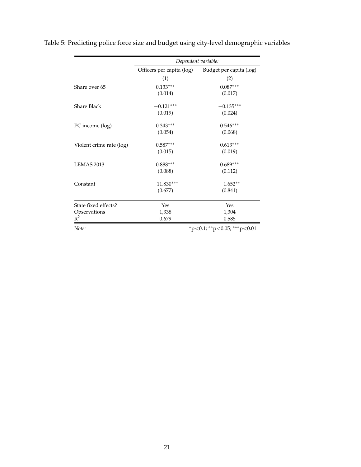|                          | Dependent variable:       |                                   |  |
|--------------------------|---------------------------|-----------------------------------|--|
|                          | Officers per capita (log) | Budget per capita (log)           |  |
|                          | (1)                       | (2)                               |  |
| Share over 65            | $0.133***$                | $0.087***$                        |  |
|                          | (0.014)                   | (0.017)                           |  |
| <b>Share Black</b>       | $-0.121***$               | $-0.135***$                       |  |
|                          | (0.019)                   | (0.024)                           |  |
| PC income (log)          | $0.343***$                | $0.546***$                        |  |
|                          | (0.054)                   | (0.068)                           |  |
| Violent crime rate (log) | $0.587***$                | $0.613***$                        |  |
|                          | (0.015)                   | (0.019)                           |  |
| LEMAS <sub>2013</sub>    | $0.888***$                | $0.689***$                        |  |
|                          | (0.088)                   | (0.112)                           |  |
| Constant                 | $-11.830***$              | $-1.652**$                        |  |
|                          | (0.677)                   | (0.841)                           |  |
| State fixed effects?     | Yes                       | Yes                               |  |
| Observations             | 1,338                     | 1,304                             |  |
| $R^2$                    | 0.679                     | 0.585                             |  |
| Note:                    |                           | $*p<0.1$ ; $*p<0.05$ ; $**p<0.01$ |  |

<span id="page-21-0"></span>Table 5: Predicting police force size and budget using city-level demographic variables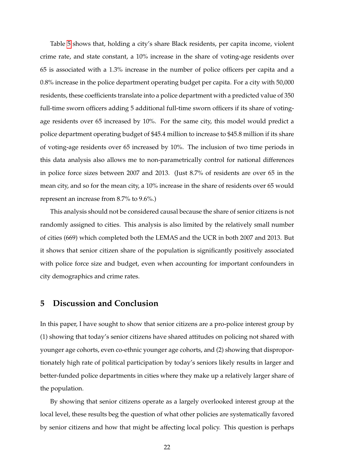Table [5](#page-21-0) shows that, holding a city's share Black residents, per capita income, violent crime rate, and state constant, a 10% increase in the share of voting-age residents over 65 is associated with a 1.3% increase in the number of police officers per capita and a 0.8% increase in the police department operating budget per capita. For a city with 50,000 residents, these coefficients translate into a police department with a predicted value of 350 full-time sworn officers adding 5 additional full-time sworn officers if its share of votingage residents over 65 increased by 10%. For the same city, this model would predict a police department operating budget of \$45.4 million to increase to \$45.8 million if its share of voting-age residents over 65 increased by 10%. The inclusion of two time periods in this data analysis also allows me to non-parametrically control for national differences in police force sizes between 2007 and 2013. (Just 8.7% of residents are over 65 in the mean city, and so for the mean city, a 10% increase in the share of residents over 65 would represent an increase from 8.7% to 9.6%.)

This analysis should not be considered causal because the share of senior citizens is not randomly assigned to cities. This analysis is also limited by the relatively small number of cities (669) which completed both the LEMAS and the UCR in both 2007 and 2013. But it shows that senior citizen share of the population is significantly positively associated with police force size and budget, even when accounting for important confounders in city demographics and crime rates.

## **5 Discussion and Conclusion**

In this paper, I have sought to show that senior citizens are a pro-police interest group by (1) showing that today's senior citizens have shared attitudes on policing not shared with younger age cohorts, even co-ethnic younger age cohorts, and (2) showing that disproportionately high rate of political participation by today's seniors likely results in larger and better-funded police departments in cities where they make up a relatively larger share of the population.

By showing that senior citizens operate as a largely overlooked interest group at the local level, these results beg the question of what other policies are systematically favored by senior citizens and how that might be affecting local policy. This question is perhaps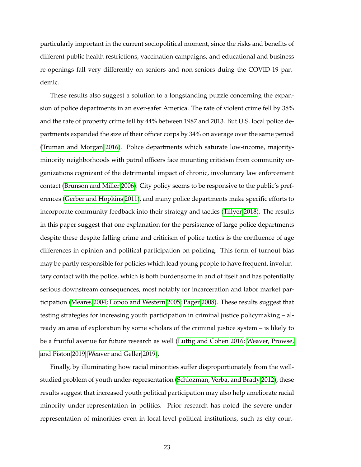particularly important in the current sociopolitical moment, since the risks and benefits of different public health restrictions, vaccination campaigns, and educational and business re-openings fall very differently on seniors and non-seniors duing the COVID-19 pandemic.

These results also suggest a solution to a longstanding puzzle concerning the expansion of police departments in an ever-safer America. The rate of violent crime fell by 38% and the rate of property crime fell by 44% between 1987 and 2013. But U.S. local police departments expanded the size of their officer corps by 34% on average over the same period [\(Truman and Morgan 2016\)](#page-29-7). Police departments which saturate low-income, majorityminority neighborhoods with patrol officers face mounting criticism from community organizations cognizant of the detrimental impact of chronic, involuntary law enforcement contact [\(Brunson and Miller 2006\)](#page-24-7). City policy seems to be responsive to the public's preferences [\(Gerber and Hopkins 2011\)](#page-25-12), and many police departments make specific efforts to incorporate community feedback into their strategy and tactics [\(Tillyer 2018\)](#page-29-8). The results in this paper suggest that one explanation for the persistence of large police departments despite these despite falling crime and criticism of police tactics is the confluence of age differences in opinion and political participation on policing. This form of turnout bias may be partly responsible for policies which lead young people to have frequent, involuntary contact with the police, which is both burdensome in and of itself and has potentially serious downstream consequences, most notably for incarceration and labor market participation [\(Meares 2004;](#page-27-6) [Lopoo and Western 2005;](#page-27-7) [Pager 2008\)](#page-27-8). These results suggest that testing strategies for increasing youth participation in criminal justice policymaking – already an area of exploration by some scholars of the criminal justice system – is likely to be a fruitful avenue for future research as well [\(Luttig and Cohen 2016;](#page-27-9) [Weaver, Prowse,](#page-29-9) [and Piston 2019;](#page-29-9) [Weaver and Geller 2019\)](#page-29-10).

Finally, by illuminating how racial minorities suffer disproportionately from the wellstudied problem of youth under-representation [\(Schlozman, Verba, and Brady 2012\)](#page-28-6), these results suggest that increased youth political participation may also help ameliorate racial minority under-representation in politics. Prior research has noted the severe underrepresentation of minorities even in local-level political institutions, such as city coun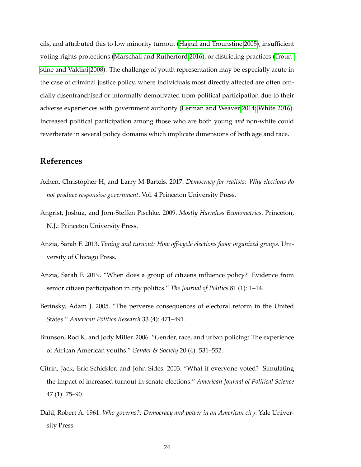cils, and attributed this to low minority turnout [\(Hajnal and Trounstine 2005\)](#page-26-7), insufficient voting rights protections [\(Marschall and Rutherford 2016\)](#page-27-10), or districting practices [\(Troun](#page-29-11)[stine and Valdini 2008\)](#page-29-11). The challenge of youth representation may be especially acute in the case of criminal justice policy, where individuals most directly affected are often officially disenfranchised or informally demotivated from political participation due to their adverse experiences with government authority [\(Lerman and Weaver 2014;](#page-26-12) [White 2016\)](#page-30-2). Increased political participation among those who are both young *and* non-white could reverberate in several policy domains which implicate dimensions of both age and race.

## **References**

- <span id="page-24-4"></span>Achen, Christopher H, and Larry M Bartels. 2017. *Democracy for realists: Why elections do not produce responsive government*. Vol. 4 Princeton University Press.
- <span id="page-24-6"></span>Angrist, Joshua, and Jörn-Steffen Pischke. 2009. *Mostly Harmless Econometrics*. Princeton, N.J.: Princeton University Press.
- <span id="page-24-1"></span>Anzia, Sarah F. 2013. *Timing and turnout: How off-cycle elections favor organized groups*. University of Chicago Press.
- <span id="page-24-2"></span>Anzia, Sarah F. 2019. "When does a group of citizens influence policy? Evidence from senior citizen participation in city politics." *The Journal of Politics* 81 (1): 1–14.
- <span id="page-24-5"></span>Berinsky, Adam J. 2005. "The perverse consequences of electoral reform in the United States." *American Politics Research* 33 (4): 471–491.
- <span id="page-24-7"></span>Brunson, Rod K, and Jody Miller. 2006. "Gender, race, and urban policing: The experience of African American youths." *Gender & Society* 20 (4): 531–552.
- <span id="page-24-3"></span>Citrin, Jack, Eric Schickler, and John Sides. 2003. "What if everyone voted? Simulating the impact of increased turnout in senate elections." *American Journal of Political Science* 47 (1): 75–90.
- <span id="page-24-0"></span>Dahl, Robert A. 1961. *Who governs?: Democracy and power in an American city*. Yale University Press.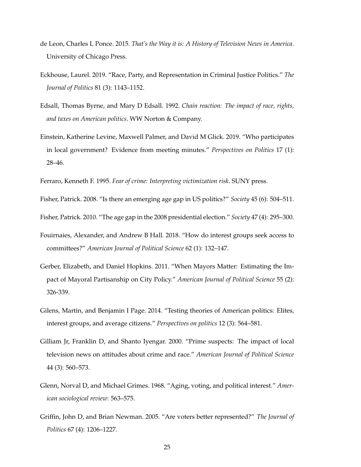- <span id="page-25-10"></span>de Leon, Charles L Ponce. 2015. *That's the Way it is: A History of Television News in America*. University of Chicago Press.
- <span id="page-25-2"></span>Eckhouse, Laurel. 2019. "Race, Party, and Representation in Criminal Justice Politics." *The Journal of Politics* 81 (3): 1143–1152.
- <span id="page-25-8"></span>Edsall, Thomas Byrne, and Mary D Edsall. 1992. *Chain reaction: The impact of race, rights, and taxes on American politics*. WW Norton & Company.
- <span id="page-25-9"></span>Einstein, Katherine Levine, Maxwell Palmer, and David M Glick. 2019. "Who participates in local government? Evidence from meeting minutes." *Perspectives on Politics* 17 (1): 28–46.

<span id="page-25-6"></span>Ferraro, Kenneth F. 1995. *Fear of crime: Interpreting victimization risk*. SUNY press.

<span id="page-25-3"></span>Fisher, Patrick. 2008. "Is there an emerging age gap in US politics?" *Society* 45 (6): 504–511.

<span id="page-25-4"></span>Fisher, Patrick. 2010. "The age gap in the 2008 presidential election." *Society* 47 (4): 295–300.

- <span id="page-25-1"></span>Fouirnaies, Alexander, and Andrew B Hall. 2018. "How do interest groups seek access to committees?" *American Journal of Political Science* 62 (1): 132–147.
- <span id="page-25-12"></span>Gerber, Elizabeth, and Daniel Hopkins. 2011. "When Mayors Matter: Estimating the Impact of Mayoral Partisanship on City Policy." *American Journal of Political Science* 55 (2): 326-339.
- <span id="page-25-0"></span>Gilens, Martin, and Benjamin I Page. 2014. "Testing theories of American politics: Elites, interest groups, and average citizens." *Perspectives on politics* 12 (3): 564–581.
- <span id="page-25-5"></span>Gilliam Jr, Franklin D, and Shanto Iyengar. 2000. "Prime suspects: The impact of local television news on attitudes about crime and race." *American Journal of Political Science* 44 (3): 560–573.
- <span id="page-25-7"></span>Glenn, Norval D, and Michael Grimes. 1968. "Aging, voting, and political interest." *American sociological review*: 563–575.
- <span id="page-25-11"></span>Griffin, John D, and Brian Newman. 2005. "Are voters better represented?" *The Journal of Politics* 67 (4): 1206–1227.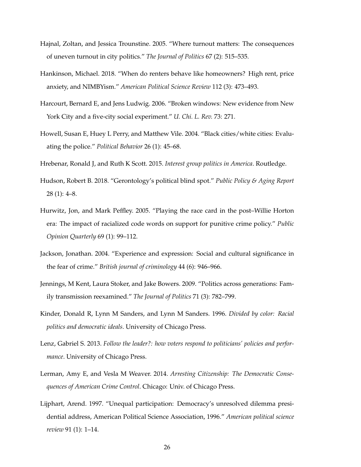- <span id="page-26-7"></span>Hajnal, Zoltan, and Jessica Trounstine. 2005. "Where turnout matters: The consequences of uneven turnout in city politics." *The Journal of Politics* 67 (2): 515–535.
- <span id="page-26-0"></span>Hankinson, Michael. 2018. "When do renters behave like homeowners? High rent, price anxiety, and NIMBYism." *American Political Science Review* 112 (3): 473–493.
- <span id="page-26-11"></span>Harcourt, Bernard E, and Jens Ludwig. 2006. "Broken windows: New evidence from New York City and a five-city social experiment." *U. Chi. L. Rev.* 73: 271.
- <span id="page-26-4"></span>Howell, Susan E, Huey L Perry, and Matthew Vile. 2004. "Black cities/white cities: Evaluating the police." *Political Behavior* 26 (1): 45–68.
- <span id="page-26-1"></span>Hrebenar, Ronald J, and Ruth K Scott. 2015. *Interest group politics in America*. Routledge.
- <span id="page-26-9"></span>Hudson, Robert B. 2018. "Gerontology's political blind spot." *Public Policy & Aging Report* 28 (1): 4–8.
- <span id="page-26-3"></span>Hurwitz, Jon, and Mark Peffley. 2005. "Playing the race card in the post–Willie Horton era: The impact of racialized code words on support for punitive crime policy." *Public Opinion Quarterly* 69 (1): 99–112.
- <span id="page-26-5"></span>Jackson, Jonathan. 2004. "Experience and expression: Social and cultural significance in the fear of crime." *British journal of criminology* 44 (6): 946–966.
- <span id="page-26-10"></span>Jennings, M Kent, Laura Stoker, and Jake Bowers. 2009. "Politics across generations: Family transmission reexamined." *The Journal of Politics* 71 (3): 782–799.
- <span id="page-26-2"></span>Kinder, Donald R, Lynn M Sanders, and Lynn M Sanders. 1996. *Divided by color: Racial politics and democratic ideals*. University of Chicago Press.
- <span id="page-26-8"></span>Lenz, Gabriel S. 2013. *Follow the leader?: how voters respond to politicians' policies and performance*. University of Chicago Press.
- <span id="page-26-12"></span>Lerman, Amy E, and Vesla M Weaver. 2014. *Arresting Citizenship: The Democratic Consequences of American Crime Control*. Chicago: Univ. of Chicago Press.
- <span id="page-26-6"></span>Lijphart, Arend. 1997. "Unequal participation: Democracy's unresolved dilemma presidential address, American Political Science Association, 1996." *American political science review* 91 (1): 1–14.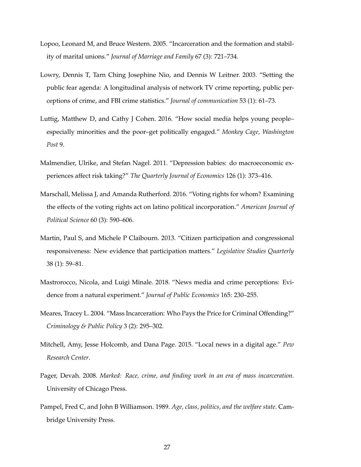- <span id="page-27-7"></span>Lopoo, Leonard M, and Bruce Western. 2005. "Incarceration and the formation and stability of marital unions." *Journal of Marriage and Family* 67 (3): 721–734.
- <span id="page-27-1"></span>Lowry, Dennis T, Tarn Ching Josephine Nio, and Dennis W Leitner. 2003. "Setting the public fear agenda: A longitudinal analysis of network TV crime reporting, public perceptions of crime, and FBI crime statistics." *Journal of communication* 53 (1): 61–73.
- <span id="page-27-9"></span>Luttig, Matthew D, and Cathy J Cohen. 2016. "How social media helps young people– especially minorities and the poor–get politically engaged." *Monkey Cage, Washington Post* 9.
- <span id="page-27-2"></span>Malmendier, Ulrike, and Stefan Nagel. 2011. "Depression babies: do macroeconomic experiences affect risk taking?" *The Quarterly Journal of Economics* 126 (1): 373–416.
- <span id="page-27-10"></span>Marschall, Melissa J, and Amanda Rutherford. 2016. "Voting rights for whom? Examining the effects of the voting rights act on latino political incorporation." *American Journal of Political Science* 60 (3): 590–606.
- <span id="page-27-5"></span>Martin, Paul S, and Michele P Claibourn. 2013. "Citizen participation and congressional responsiveness: New evidence that participation matters." *Legislative Studies Quarterly* 38 (1): 59–81.
- <span id="page-27-4"></span>Mastrorocco, Nicola, and Luigi Minale. 2018. "News media and crime perceptions: Evidence from a natural experiment." *Journal of Public Economics* 165: 230–255.
- <span id="page-27-6"></span>Meares, Tracey L. 2004. "Mass Incarceration: Who Pays the Price for Criminal Offending?" *Criminology & Public Policy* 3 (2): 295–302.
- <span id="page-27-3"></span>Mitchell, Amy, Jesse Holcomb, and Dana Page. 2015. "Local news in a digital age." *Pew Research Center*.
- <span id="page-27-8"></span>Pager, Devah. 2008. *Marked: Race, crime, and finding work in an era of mass incarceration*. University of Chicago Press.
- <span id="page-27-0"></span>Pampel, Fred C, and John B Williamson. 1989. *Age, class, politics, and the welfare state*. Cambridge University Press.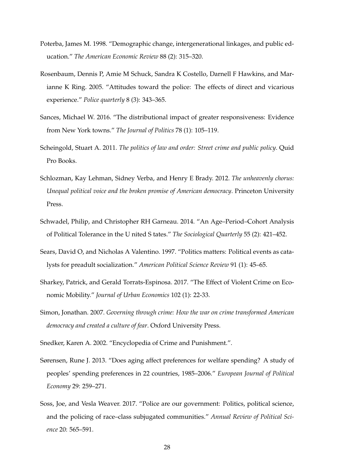- <span id="page-28-1"></span>Poterba, James M. 1998. "Demographic change, intergenerational linkages, and public education." *The American Economic Review* 88 (2): 315–320.
- <span id="page-28-4"></span>Rosenbaum, Dennis P, Amie M Schuck, Sandra K Costello, Darnell F Hawkins, and Marianne K Ring. 2005. "Attitudes toward the police: The effects of direct and vicarious experience." *Police quarterly* 8 (3): 343–365.
- <span id="page-28-8"></span>Sances, Michael W. 2016. "The distributional impact of greater responsiveness: Evidence from New York towns." *The Journal of Politics* 78 (1): 105–119.
- <span id="page-28-7"></span>Scheingold, Stuart A. 2011. *The politics of law and order: Street crime and public policy*. Quid Pro Books.
- <span id="page-28-6"></span>Schlozman, Kay Lehman, Sidney Verba, and Henry E Brady. 2012. *The unheavenly chorus: Unequal political voice and the broken promise of American democracy*. Princeton University Press.
- <span id="page-28-3"></span>Schwadel, Philip, and Christopher RH Garneau. 2014. "An Age–Period–Cohort Analysis of Political Tolerance in the U nited S tates." *The Sociological Quarterly* 55 (2): 421–452.
- <span id="page-28-10"></span>Sears, David O, and Nicholas A Valentino. 1997. "Politics matters: Political events as catalysts for preadult socialization." *American Political Science Review* 91 (1): 45–65.
- <span id="page-28-11"></span>Sharkey, Patrick, and Gerald Torrats-Espinosa. 2017. "The Effect of Violent Crime on Economic Mobility." *Journal of Urban Economics* 102 (1): 22-33.
- <span id="page-28-9"></span>Simon, Jonathan. 2007. *Governing through crime: How the war on crime transformed American democracy and created a culture of fear*. Oxford University Press.
- <span id="page-28-5"></span>Snedker, Karen A. 2002. "Encyclopedia of Crime and Punishment.".
- <span id="page-28-2"></span>Sørensen, Rune J. 2013. "Does aging affect preferences for welfare spending? A study of peoples' spending preferences in 22 countries, 1985–2006." *European Journal of Political Economy* 29: 259–271.
- <span id="page-28-0"></span>Soss, Joe, and Vesla Weaver. 2017. "Police are our government: Politics, political science, and the policing of race–class subjugated communities." *Annual Review of Political Science* 20: 565–591.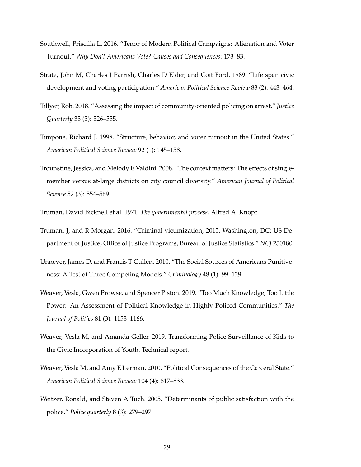- <span id="page-29-6"></span>Southwell, Priscilla L. 2016. "Tenor of Modern Political Campaigns: Alienation and Voter Turnout." *Why Don't Americans Vote? Causes and Consequences*: 173–83.
- <span id="page-29-4"></span>Strate, John M, Charles J Parrish, Charles D Elder, and Coit Ford. 1989. "Life span civic development and voting participation." *American Political Science Review* 83 (2): 443–464.
- <span id="page-29-8"></span>Tillyer, Rob. 2018. "Assessing the impact of community-oriented policing on arrest." *Justice Quarterly* 35 (3): 526–555.
- <span id="page-29-5"></span>Timpone, Richard J. 1998. "Structure, behavior, and voter turnout in the United States." *American Political Science Review* 92 (1): 145–158.
- <span id="page-29-11"></span>Trounstine, Jessica, and Melody E Valdini. 2008. "The context matters: The effects of singlemember versus at-large districts on city council diversity." *American Journal of Political Science* 52 (3): 554–569.
- <span id="page-29-1"></span>Truman, David Bicknell et al. 1971. *The governmental process*. Alfred A. Knopf.
- <span id="page-29-7"></span>Truman, J, and R Morgan. 2016. "Criminal victimization, 2015. Washington, DC: US Department of Justice, Office of Justice Programs, Bureau of Justice Statistics." *NCJ* 250180.
- <span id="page-29-2"></span>Unnever, James D, and Francis T Cullen. 2010. "The Social Sources of Americans Punitiveness: A Test of Three Competing Models." *Criminology* 48 (1): 99–129.
- <span id="page-29-9"></span>Weaver, Vesla, Gwen Prowse, and Spencer Piston. 2019. "Too Much Knowledge, Too Little Power: An Assessment of Political Knowledge in Highly Policed Communities." *The Journal of Politics* 81 (3): 1153–1166.
- <span id="page-29-10"></span>Weaver, Vesla M, and Amanda Geller. 2019. Transforming Police Surveillance of Kids to the Civic Incorporation of Youth. Technical report.
- <span id="page-29-0"></span>Weaver, Vesla M, and Amy E Lerman. 2010. "Political Consequences of the Carceral State." *American Political Science Review* 104 (4): 817–833.
- <span id="page-29-3"></span>Weitzer, Ronald, and Steven A Tuch. 2005. "Determinants of public satisfaction with the police." *Police quarterly* 8 (3): 279–297.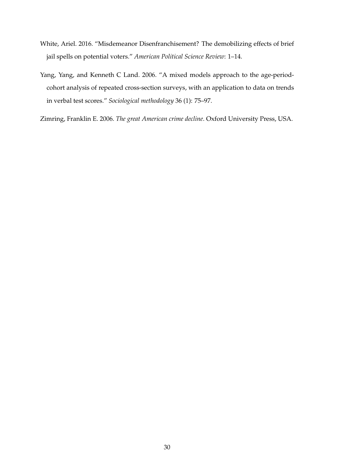- <span id="page-30-2"></span>White, Ariel. 2016. "Misdemeanor Disenfranchisement? The demobilizing effects of brief jail spells on potential voters." *American Political Science Review*: 1–14.
- <span id="page-30-0"></span>Yang, Yang, and Kenneth C Land. 2006. "A mixed models approach to the age-periodcohort analysis of repeated cross-section surveys, with an application to data on trends in verbal test scores." *Sociological methodology* 36 (1): 75–97.
- <span id="page-30-1"></span>Zimring, Franklin E. 2006. *The great American crime decline*. Oxford University Press, USA.